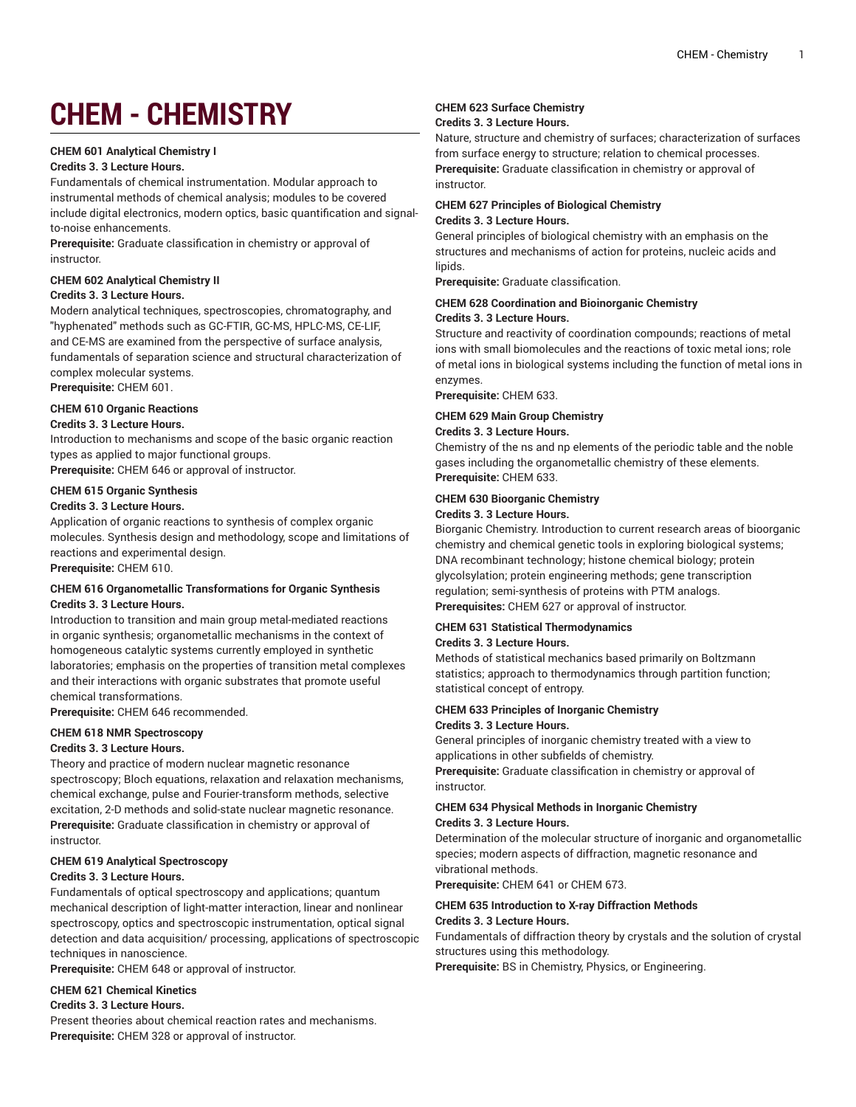# **CHEM - CHEMISTRY**

## **CHEM 601 Analytical Chemistry I**

#### **Credits 3. 3 Lecture Hours.**

Fundamentals of chemical instrumentation. Modular approach to instrumental methods of chemical analysis; modules to be covered include digital electronics, modern optics, basic quantification and signalto-noise enhancements.

**Prerequisite:** Graduate classification in chemistry or approval of instructor.

#### **CHEM 602 Analytical Chemistry II**

#### **Credits 3. 3 Lecture Hours.**

Modern analytical techniques, spectroscopies, chromatography, and "hyphenated" methods such as GC-FTIR, GC-MS, HPLC-MS, CE-LIF, and CE-MS are examined from the perspective of surface analysis, fundamentals of separation science and structural characterization of complex molecular systems.

**Prerequisite:** CHEM 601.

# **CHEM 610 Organic Reactions**

# **Credits 3. 3 Lecture Hours.**

Introduction to mechanisms and scope of the basic organic reaction types as applied to major functional groups.

**Prerequisite:** CHEM 646 or approval of instructor.

# **CHEM 615 Organic Synthesis**

# **Credits 3. 3 Lecture Hours.**

Application of organic reactions to synthesis of complex organic molecules. Synthesis design and methodology, scope and limitations of reactions and experimental design.

**Prerequisite:** CHEM 610.

#### **CHEM 616 Organometallic Transformations for Organic Synthesis Credits 3. 3 Lecture Hours.**

Introduction to transition and main group metal-mediated reactions in organic synthesis; organometallic mechanisms in the context of homogeneous catalytic systems currently employed in synthetic laboratories; emphasis on the properties of transition metal complexes and their interactions with organic substrates that promote useful chemical transformations.

**Prerequisite:** CHEM 646 recommended.

#### **CHEM 618 NMR Spectroscopy**

#### **Credits 3. 3 Lecture Hours.**

Theory and practice of modern nuclear magnetic resonance spectroscopy; Bloch equations, relaxation and relaxation mechanisms, chemical exchange, pulse and Fourier-transform methods, selective excitation, 2-D methods and solid-state nuclear magnetic resonance. **Prerequisite:** Graduate classification in chemistry or approval of instructor.

# **CHEM 619 Analytical Spectroscopy**

#### **Credits 3. 3 Lecture Hours.**

Fundamentals of optical spectroscopy and applications; quantum mechanical description of light-matter interaction, linear and nonlinear spectroscopy, optics and spectroscopic instrumentation, optical signal detection and data acquisition/ processing, applications of spectroscopic techniques in nanoscience.

**Prerequisite:** CHEM 648 or approval of instructor.

#### **CHEM 621 Chemical Kinetics**

**Credits 3. 3 Lecture Hours.**

Present theories about chemical reaction rates and mechanisms. **Prerequisite:** CHEM 328 or approval of instructor.

# **CHEM 623 Surface Chemistry**

# **Credits 3. 3 Lecture Hours.**

Nature, structure and chemistry of surfaces; characterization of surfaces from surface energy to structure; relation to chemical processes. **Prerequisite:** Graduate classification in chemistry or approval of instructor.

## **CHEM 627 Principles of Biological Chemistry Credits 3. 3 Lecture Hours.**

General principles of biological chemistry with an emphasis on the structures and mechanisms of action for proteins, nucleic acids and lipids.

**Prerequisite:** Graduate classification.

## **CHEM 628 Coordination and Bioinorganic Chemistry**

#### **Credits 3. 3 Lecture Hours.**

Structure and reactivity of coordination compounds; reactions of metal ions with small biomolecules and the reactions of toxic metal ions; role of metal ions in biological systems including the function of metal ions in enzymes.

**Prerequisite:** CHEM 633.

#### **CHEM 629 Main Group Chemistry**

#### **Credits 3. 3 Lecture Hours.**

Chemistry of the ns and np elements of the periodic table and the noble gases including the organometallic chemistry of these elements. **Prerequisite:** CHEM 633.

#### **CHEM 630 Bioorganic Chemistry**

#### **Credits 3. 3 Lecture Hours.**

Biorganic Chemistry. Introduction to current research areas of bioorganic chemistry and chemical genetic tools in exploring biological systems; DNA recombinant technology; histone chemical biology; protein glycolsylation; protein engineering methods; gene transcription regulation; semi-synthesis of proteins with PTM analogs. **Prerequisites:** CHEM 627 or approval of instructor.

## **CHEM 631 Statistical Thermodynamics Credits 3. 3 Lecture Hours.**

Methods of statistical mechanics based primarily on Boltzmann statistics; approach to thermodynamics through partition function; statistical concept of entropy.

## **CHEM 633 Principles of Inorganic Chemistry Credits 3. 3 Lecture Hours.**

General principles of inorganic chemistry treated with a view to applications in other subfields of chemistry.

**Prerequisite:** Graduate classification in chemistry or approval of instructor.

#### **CHEM 634 Physical Methods in Inorganic Chemistry Credits 3. 3 Lecture Hours.**

Determination of the molecular structure of inorganic and organometallic species; modern aspects of diffraction, magnetic resonance and vibrational methods.

**Prerequisite:** CHEM 641 or CHEM 673.

## **CHEM 635 Introduction to X-ray Diffraction Methods Credits 3. 3 Lecture Hours.**

Fundamentals of diffraction theory by crystals and the solution of crystal structures using this methodology.

**Prerequisite:** BS in Chemistry, Physics, or Engineering.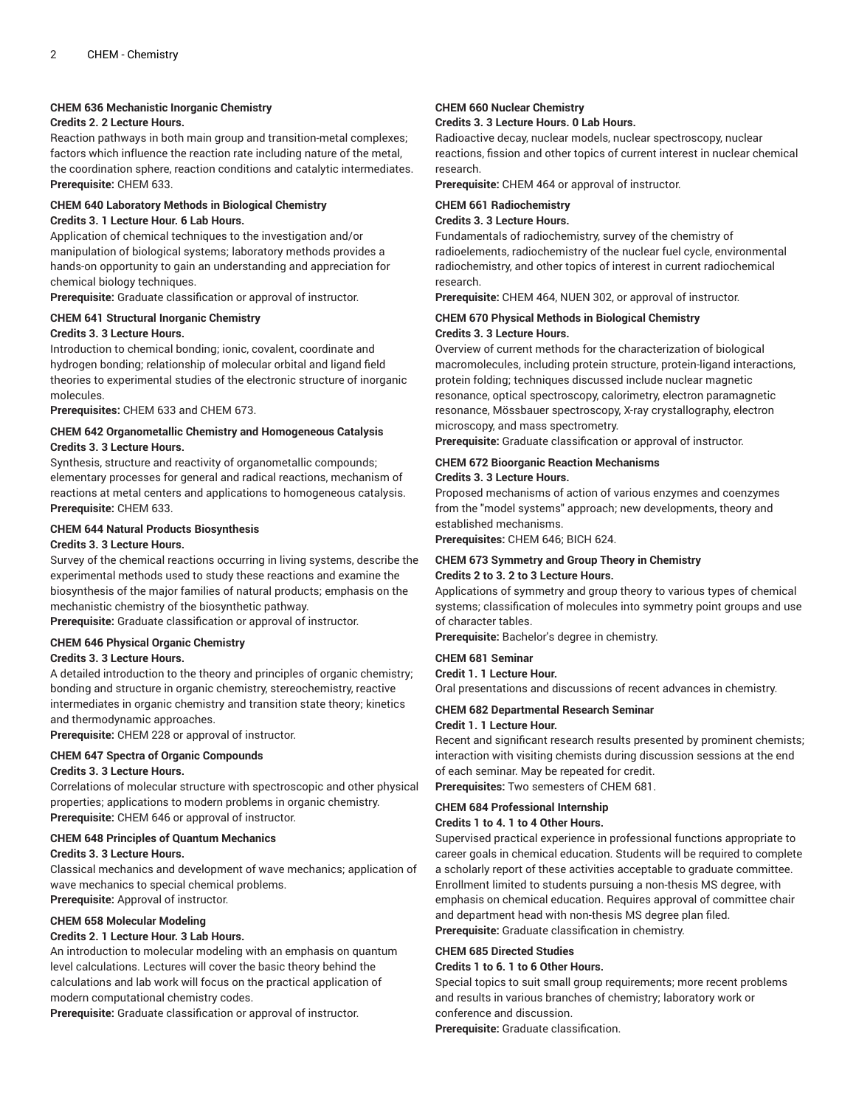## **CHEM 636 Mechanistic Inorganic Chemistry**

# **Credits 2. 2 Lecture Hours.**

Reaction pathways in both main group and transition-metal complexes; factors which influence the reaction rate including nature of the metal, the coordination sphere, reaction conditions and catalytic intermediates. **Prerequisite:** CHEM 633.

#### **CHEM 640 Laboratory Methods in Biological Chemistry Credits 3. 1 Lecture Hour. 6 Lab Hours.**

Application of chemical techniques to the investigation and/or manipulation of biological systems; laboratory methods provides a hands-on opportunity to gain an understanding and appreciation for chemical biology techniques.

**Prerequisite:** Graduate classification or approval of instructor.

# **CHEM 641 Structural Inorganic Chemistry**

#### **Credits 3. 3 Lecture Hours.**

Introduction to chemical bonding; ionic, covalent, coordinate and hydrogen bonding; relationship of molecular orbital and ligand field theories to experimental studies of the electronic structure of inorganic molecules.

**Prerequisites:** CHEM 633 and CHEM 673.

## **CHEM 642 Organometallic Chemistry and Homogeneous Catalysis Credits 3. 3 Lecture Hours.**

Synthesis, structure and reactivity of organometallic compounds; elementary processes for general and radical reactions, mechanism of reactions at metal centers and applications to homogeneous catalysis. **Prerequisite:** CHEM 633.

#### **CHEM 644 Natural Products Biosynthesis**

#### **Credits 3. 3 Lecture Hours.**

Survey of the chemical reactions occurring in living systems, describe the experimental methods used to study these reactions and examine the biosynthesis of the major families of natural products; emphasis on the mechanistic chemistry of the biosynthetic pathway.

**Prerequisite:** Graduate classification or approval of instructor.

#### **CHEM 646 Physical Organic Chemistry**

#### **Credits 3. 3 Lecture Hours.**

A detailed introduction to the theory and principles of organic chemistry; bonding and structure in organic chemistry, stereochemistry, reactive intermediates in organic chemistry and transition state theory; kinetics and thermodynamic approaches.

**Prerequisite:** CHEM 228 or approval of instructor.

#### **CHEM 647 Spectra of Organic Compounds**

#### **Credits 3. 3 Lecture Hours.**

Correlations of molecular structure with spectroscopic and other physical properties; applications to modern problems in organic chemistry. **Prerequisite:** CHEM 646 or approval of instructor.

#### **CHEM 648 Principles of Quantum Mechanics**

## **Credits 3. 3 Lecture Hours.**

Classical mechanics and development of wave mechanics; application of wave mechanics to special chemical problems. **Prerequisite:** Approval of instructor.

# **CHEM 658 Molecular Modeling**

# **Credits 2. 1 Lecture Hour. 3 Lab Hours.**

An introduction to molecular modeling with an emphasis on quantum level calculations. Lectures will cover the basic theory behind the calculations and lab work will focus on the practical application of modern computational chemistry codes.

**Prerequisite:** Graduate classification or approval of instructor.

## **CHEM 660 Nuclear Chemistry**

# **Credits 3. 3 Lecture Hours. 0 Lab Hours.**

Radioactive decay, nuclear models, nuclear spectroscopy, nuclear reactions, fission and other topics of current interest in nuclear chemical research.

**Prerequisite:** CHEM 464 or approval of instructor.

# **CHEM 661 Radiochemistry**

**Credits 3. 3 Lecture Hours.**

Fundamentals of radiochemistry, survey of the chemistry of radioelements, radiochemistry of the nuclear fuel cycle, environmental radiochemistry, and other topics of interest in current radiochemical research.

**Prerequisite:** CHEM 464, NUEN 302, or approval of instructor.

#### **CHEM 670 Physical Methods in Biological Chemistry Credits 3. 3 Lecture Hours.**

Overview of current methods for the characterization of biological macromolecules, including protein structure, protein-ligand interactions, protein folding; techniques discussed include nuclear magnetic resonance, optical spectroscopy, calorimetry, electron paramagnetic resonance, Mössbauer spectroscopy, X-ray crystallography, electron microscopy, and mass spectrometry.

**Prerequisite:** Graduate classification or approval of instructor.

# **CHEM 672 Bioorganic Reaction Mechanisms**

#### **Credits 3. 3 Lecture Hours.**

Proposed mechanisms of action of various enzymes and coenzymes from the "model systems" approach; new developments, theory and established mechanisms.

**Prerequisites:** CHEM 646; BICH 624.

#### **CHEM 673 Symmetry and Group Theory in Chemistry Credits 2 to 3. 2 to 3 Lecture Hours.**

Applications of symmetry and group theory to various types of chemical systems; classification of molecules into symmetry point groups and use of character tables.

**Prerequisite:** Bachelor's degree in chemistry.

#### **CHEM 681 Seminar**

#### **Credit 1. 1 Lecture Hour.**

Oral presentations and discussions of recent advances in chemistry.

#### **CHEM 682 Departmental Research Seminar**

#### **Credit 1. 1 Lecture Hour.**

Recent and significant research results presented by prominent chemists; interaction with visiting chemists during discussion sessions at the end of each seminar. May be repeated for credit.

**Prerequisites:** Two semesters of CHEM 681.

#### **CHEM 684 Professional Internship**

# **Credits 1 to 4. 1 to 4 Other Hours.**

Supervised practical experience in professional functions appropriate to career goals in chemical education. Students will be required to complete a scholarly report of these activities acceptable to graduate committee. Enrollment limited to students pursuing a non-thesis MS degree, with emphasis on chemical education. Requires approval of committee chair and department head with non-thesis MS degree plan filed. **Prerequisite:** Graduate classification in chemistry.

# **CHEM 685 Directed Studies**

# **Credits 1 to 6. 1 to 6 Other Hours.**

Special topics to suit small group requirements; more recent problems and results in various branches of chemistry; laboratory work or conference and discussion.

**Prerequisite:** Graduate classification.